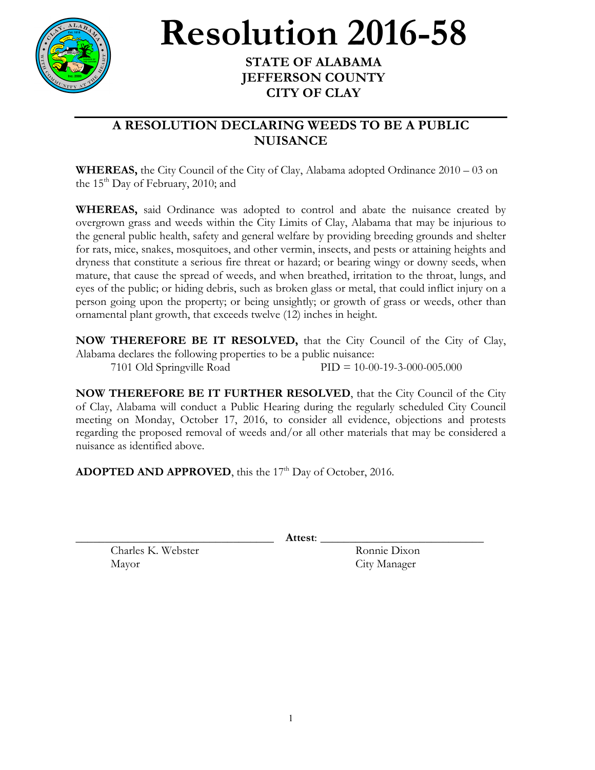

**Resolution** 2016-58

## **JEFFERSON COUNTY CITY OF CLAY**

## **A RESOLUTION DECLARING WEEDS TO BE A PUBLIC NUISANCE**

**WHEREAS,** the City Council of the City of Clay, Alabama adopted Ordinance 2010 – 03 on the  $15<sup>th</sup>$  Day of February, 2010; and

**WHEREAS,** said Ordinance was adopted to control and abate the nuisance created by overgrown grass and weeds within the City Limits of Clay, Alabama that may be injurious to the general public health, safety and general welfare by providing breeding grounds and shelter for rats, mice, snakes, mosquitoes, and other vermin, insects, and pests or attaining heights and dryness that constitute a serious fire threat or hazard; or bearing wingy or downy seeds, when mature, that cause the spread of weeds, and when breathed, irritation to the throat, lungs, and eyes of the public; or hiding debris, such as broken glass or metal, that could inflict injury on a person going upon the property; or being unsightly; or growth of grass or weeds, other than ornamental plant growth, that exceeds twelve (12) inches in height.

**NOW THEREFORE BE IT RESOLVED,** that the City Council of the City of Clay, Alabama declares the following properties to be a public nuisance:

7101 Old Springville Road PID = 10-00-19-3-000-005.000

**NOW THEREFORE BE IT FURTHER RESOLVED**, that the City Council of the City of Clay, Alabama will conduct a Public Hearing during the regularly scheduled City Council meeting on Monday, October 17, 2016, to consider all evidence, objections and protests regarding the proposed removal of weeds and/or all other materials that may be considered a nuisance as identified above.

ADOPTED AND APPROVED, this the 17<sup>th</sup> Day of October, 2016.

\_\_\_\_\_\_\_\_\_\_\_\_\_\_\_\_\_\_\_\_\_\_\_\_\_\_\_\_\_\_\_\_\_\_ **Attest**: \_\_\_\_\_\_\_\_\_\_\_\_\_\_\_\_\_\_\_\_\_\_\_\_\_\_\_\_

Charles K. Webster Ronnie Dixon Mayor City Manager